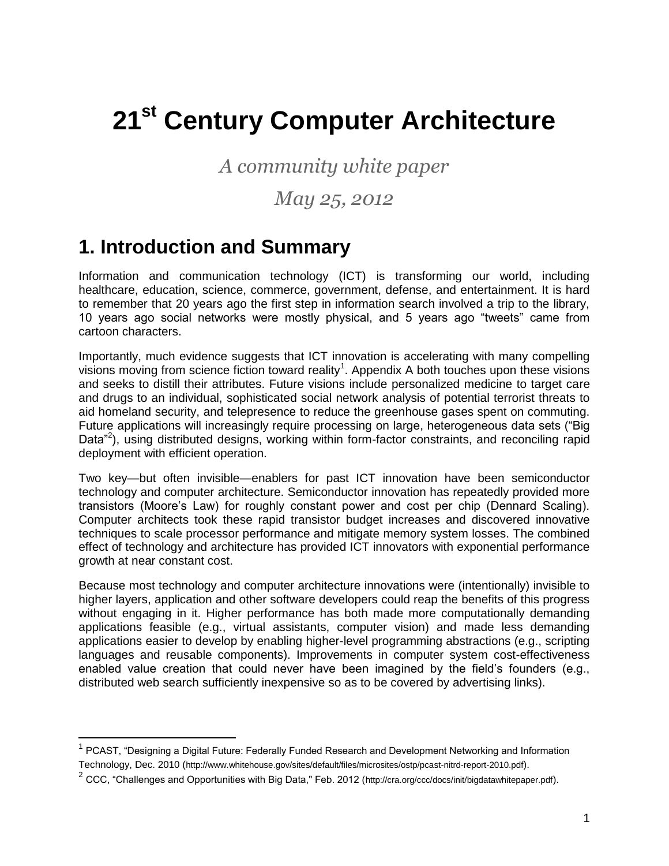# **21st Century Computer Architecture**

*A community white paper*

## *May 25, 2012*

# **1. Introduction and Summary**

Information and communication technology (ICT) is transforming our world, including healthcare, education, science, commerce, government, defense, and entertainment. It is hard to remember that 20 years ago the first step in information search involved a trip to the library, 10 years ago social networks were mostly physical, and 5 years ago "tweets" came from cartoon characters.

Importantly, much evidence suggests that ICT innovation is accelerating with many compelling visions moving from science fiction toward reality<sup>1</sup>. Appendix A both touches upon these visions and seeks to distill their attributes. Future visions include personalized medicine to target care and drugs to an individual, sophisticated social network analysis of potential terrorist threats to aid homeland security, and telepresence to reduce the greenhouse gases spent on commuting. Future applications will increasingly require processing on large, heterogeneous data sets ("Big Data<sup>"2</sup>), using distributed designs, working within form-factor constraints, and reconciling rapid deployment with efficient operation.

Two key—but often invisible—enablers for past ICT innovation have been semiconductor technology and computer architecture. Semiconductor innovation has repeatedly provided more transistors (Moore's Law) for roughly constant power and cost per chip (Dennard Scaling). Computer architects took these rapid transistor budget increases and discovered innovative techniques to scale processor performance and mitigate memory system losses. The combined effect of technology and architecture has provided ICT innovators with exponential performance growth at near constant cost.

Because most technology and computer architecture innovations were (intentionally) invisible to higher layers, application and other software developers could reap the benefits of this progress without engaging in it. Higher performance has both made more computationally demanding applications feasible (e.g., virtual assistants, computer vision) and made less demanding applications easier to develop by enabling higher-level programming abstractions (e.g., scripting languages and reusable components). Improvements in computer system cost-effectiveness enabled value creation that could never have been imagined by the field's founders (e.g., distributed web search sufficiently inexpensive so as to be covered by advertising links).

<sup>&</sup>lt;sup>1</sup> PCAST, "Designing a Digital Future: Federally Funded Research and Development Networking and Information Technology, Dec. 2010 (http://www.whitehouse.gov/sites/default/files/microsites/ostp/pcast-nitrd-report-2010.pdf).

 $^2$  CCC, "Challenges and Opportunities with Big Data," Feb. 2012 (http://cra.org/ccc/docs/init/bigdatawhitepaper.pdf).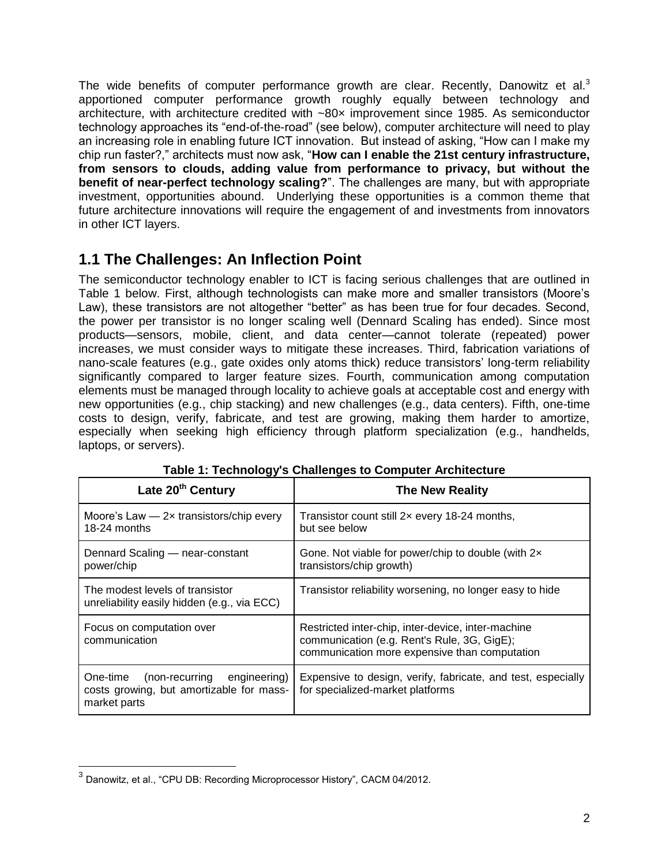The wide benefits of computer performance growth are clear. Recently, Danowitz et al.<sup>3</sup> apportioned computer performance growth roughly equally between technology and architecture, with architecture credited with ~80× improvement since 1985. As semiconductor technology approaches its "end-of-the-road" (see below), computer architecture will need to play an increasing role in enabling future ICT innovation. But instead of asking, "How can I make my chip run faster?," architects must now ask, "**How can I enable the 21st century infrastructure, from sensors to clouds, adding value from performance to privacy, but without the benefit of near-perfect technology scaling?**". The challenges are many, but with appropriate investment, opportunities abound. Underlying these opportunities is a common theme that future architecture innovations will require the engagement of and investments from innovators in other ICT layers.

## **1.1 The Challenges: An Inflection Point**

The semiconductor technology enabler to ICT is facing serious challenges that are outlined in Table 1 below. First, although technologists can make more and smaller transistors (Moore's Law), these transistors are not altogether "better" as has been true for four decades. Second, the power per transistor is no longer scaling well (Dennard Scaling has ended). Since most products—sensors, mobile, client, and data center—cannot tolerate (repeated) power increases, we must consider ways to mitigate these increases. Third, fabrication variations of nano-scale features (e.g., gate oxides only atoms thick) reduce transistors' long-term reliability significantly compared to larger feature sizes. Fourth, communication among computation elements must be managed through locality to achieve goals at acceptable cost and energy with new opportunities (e.g., chip stacking) and new challenges (e.g., data centers). Fifth, one-time costs to design, verify, fabricate, and test are growing, making them harder to amortize, especially when seeking high efficiency through platform specialization (e.g., handhelds, laptops, or servers).

| Late 20 <sup>th</sup> Century                                                                       | <b>The New Reality</b>                                                                                                                             |  |  |
|-----------------------------------------------------------------------------------------------------|----------------------------------------------------------------------------------------------------------------------------------------------------|--|--|
| Moore's Law $-2x$ transistors/chip every<br>18-24 months                                            | Transistor count still 2x every 18-24 months,<br>but see below                                                                                     |  |  |
| Dennard Scaling - near-constant<br>power/chip                                                       | Gone. Not viable for power/chip to double (with 2x<br>transistors/chip growth)                                                                     |  |  |
| The modest levels of transistor<br>unreliability easily hidden (e.g., via ECC)                      | Transistor reliability worsening, no longer easy to hide                                                                                           |  |  |
| Focus on computation over<br>communication                                                          | Restricted inter-chip, inter-device, inter-machine<br>communication (e.g. Rent's Rule, 3G, GigE);<br>communication more expensive than computation |  |  |
| (non-recurring engineering)<br>One-time<br>costs growing, but amortizable for mass-<br>market parts | Expensive to design, verify, fabricate, and test, especially<br>for specialized-market platforms                                                   |  |  |

|  | Table 1: Technology's Challenges to Computer Architecture |  |  |
|--|-----------------------------------------------------------|--|--|
|  |                                                           |  |  |

 $^3$  Danowitz, et al., "CPU DB: Recording Microprocessor History", CACM 04/2012.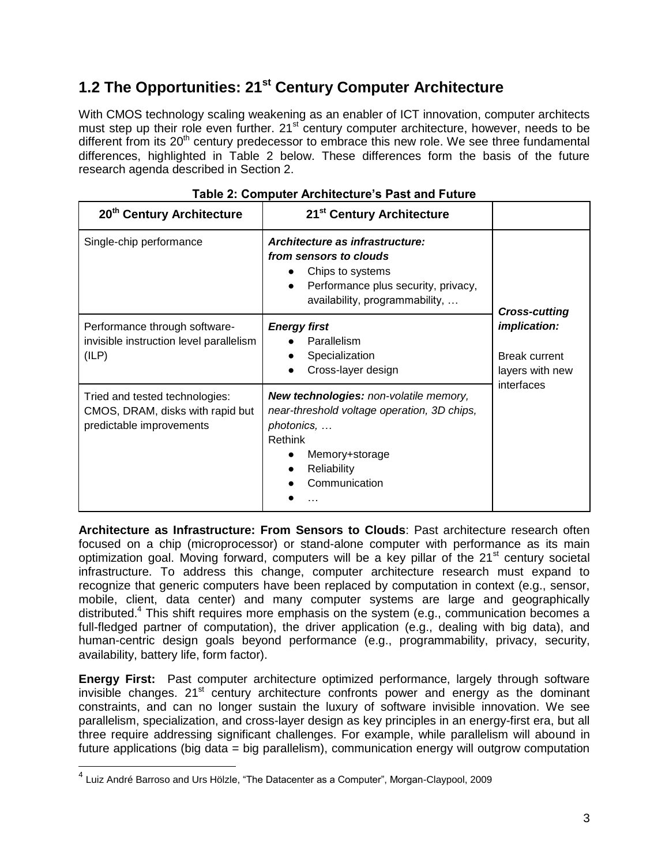## **1.2 The Opportunities: 21st Century Computer Architecture**

With CMOS technology scaling weakening as an enabler of ICT innovation, computer architects must step up their role even further.  $21^{st}$  century computer architecture, however, needs to be different from its  $20<sup>th</sup>$  century predecessor to embrace this new role. We see three fundamental differences, highlighted in Table 2 below. These differences form the basis of the future research agenda described in Section 2.

| 20 <sup>th</sup> Century Architecture                                                          | 21 <sup>st</sup> Century Architecture                                                                                                                            |                                                                                                      |
|------------------------------------------------------------------------------------------------|------------------------------------------------------------------------------------------------------------------------------------------------------------------|------------------------------------------------------------------------------------------------------|
| Single-chip performance                                                                        | Architecture as infrastructure:<br>from sensors to clouds<br>Chips to systems<br>Performance plus security, privacy,<br>availability, programmability,           | <b>Cross-cutting</b><br><i>implication:</i><br><b>Break current</b><br>layers with new<br>interfaces |
| Performance through software-<br>invisible instruction level parallelism<br>(ILP)              | <b>Energy first</b><br>Parallelism<br>Specialization<br>Cross-layer design                                                                                       |                                                                                                      |
| Tried and tested technologies:<br>CMOS, DRAM, disks with rapid but<br>predictable improvements | New technologies: non-volatile memory,<br>near-threshold voltage operation, 3D chips,<br>photonics,<br>Rethink<br>Memory+storage<br>Reliability<br>Communication |                                                                                                      |

|  | Table 2: Computer Architecture's Past and Future |  |  |
|--|--------------------------------------------------|--|--|
|  |                                                  |  |  |

**Architecture as Infrastructure: From Sensors to Clouds**: Past architecture research often focused on a chip (microprocessor) or stand-alone computer with performance as its main optimization goal. Moving forward, computers will be a key pillar of the  $21<sup>st</sup>$  century societal infrastructure. To address this change, computer architecture research must expand to recognize that generic computers have been replaced by computation in context (e.g., sensor, mobile, client, data center) and many computer systems are large and geographically distributed.<sup>4</sup> This shift requires more emphasis on the system (e.g., communication becomes a full-fledged partner of computation), the driver application (e.g., dealing with big data), and human-centric design goals beyond performance (e.g., programmability, privacy, security, availability, battery life, form factor).

**Energy First:** Past computer architecture optimized performance, largely through software invisible changes. 21<sup>st</sup> century architecture confronts power and energy as the dominant constraints, and can no longer sustain the luxury of software invisible innovation. We see parallelism, specialization, and cross-layer design as key principles in an energy-first era, but all three require addressing significant challenges. For example, while parallelism will abound in future applications (big data = big parallelism), communication energy will outgrow computation

<sup>&</sup>lt;sup>4</sup> Luiz André Barroso and Urs Hölzle, "The Datacenter as a Computer", Morgan-Claypool, 2009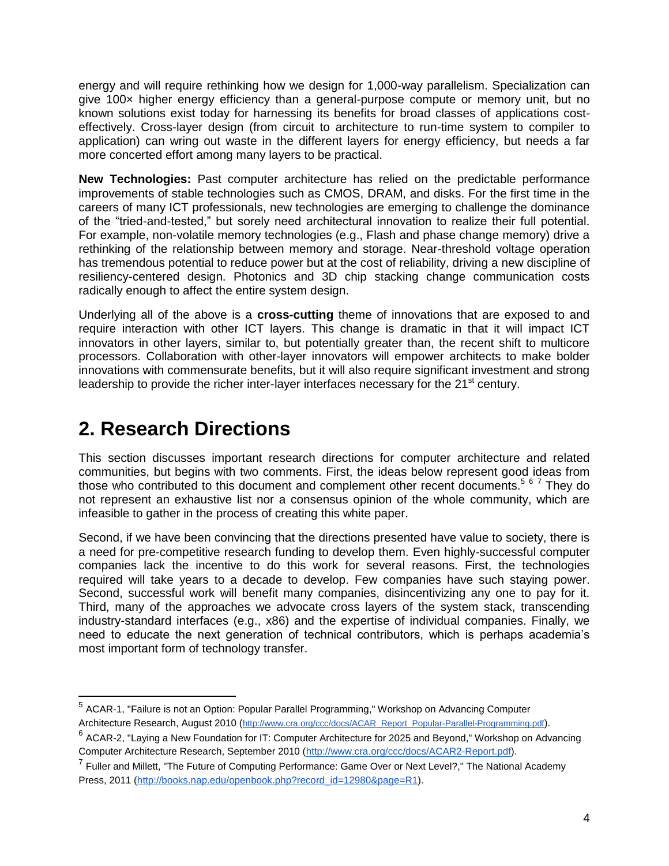energy and will require rethinking how we design for 1,000-way parallelism. Specialization can give 100× higher energy efficiency than a general-purpose compute or memory unit, but no known solutions exist today for harnessing its benefits for broad classes of applications costeffectively. Cross-layer design (from circuit to architecture to run-time system to compiler to application) can wring out waste in the different layers for energy efficiency, but needs a far more concerted effort among many layers to be practical.

**New Technologies:** Past computer architecture has relied on the predictable performance improvements of stable technologies such as CMOS, DRAM, and disks. For the first time in the careers of many ICT professionals, new technologies are emerging to challenge the dominance of the "tried-and-tested," but sorely need architectural innovation to realize their full potential. For example, non-volatile memory technologies (e.g., Flash and phase change memory) drive a rethinking of the relationship between memory and storage. Near-threshold voltage operation has tremendous potential to reduce power but at the cost of reliability, driving a new discipline of resiliency-centered design. Photonics and 3D chip stacking change communication costs radically enough to affect the entire system design.

Underlying all of the above is a **cross-cutting** theme of innovations that are exposed to and require interaction with other ICT layers. This change is dramatic in that it will impact ICT innovators in other layers, similar to, but potentially greater than, the recent shift to multicore processors. Collaboration with other-layer innovators will empower architects to make bolder innovations with commensurate benefits, but it will also require significant investment and strong leadership to provide the richer inter-layer interfaces necessary for the 21<sup>st</sup> century.

# **2. Research Directions**

This section discusses important research directions for computer architecture and related communities, but begins with two comments. First, the ideas below represent good ideas from those who contributed to this document and complement other recent documents.<sup>5 6 7</sup> They do not represent an exhaustive list nor a consensus opinion of the whole community, which are infeasible to gather in the process of creating this white paper.

Second, if we have been convincing that the directions presented have value to society, there is a need for pre-competitive research funding to develop them. Even highly-successful computer companies lack the incentive to do this work for several reasons. First, the technologies required will take years to a decade to develop. Few companies have such staying power. Second, successful work will benefit many companies, disincentivizing any one to pay for it. Third, many of the approaches we advocate cross layers of the system stack, transcending industry-standard interfaces (e.g., x86) and the expertise of individual companies. Finally, we need to educate the next generation of technical contributors, which is perhaps academia's most important form of technology transfer.

<sup>&</sup>lt;sup>5</sup> ACAR-1, "Failure is not an Option: Popular Parallel Programming," Workshop on Advancing Computer Architecture Research, August 2010 ([http://www.cra.org/ccc/docs/ACAR\\_Report\\_Popular-Parallel-Programming.pdf](http://www.cra.org/ccc/docs/ACAR_Report_Popular-Parallel-Programming.pdf)).

 $^6$  ACAR-2, "Laying a New Foundation for IT: Computer Architecture for 2025 and Beyond," Workshop on Advancing Computer Architecture Research, September 2010 [\(http://www.cra.org/ccc/docs/ACAR2-Report.pdf\)](http://www.cra.org/ccc/docs/ACAR2-Report.pdf).

<sup>&</sup>lt;sup>7</sup> Fuller and Millett, "The Future of Computing Performance: Game Over or Next Level?," The National Academy Press, 2011 [\(http://books.nap.edu/openbook.php?record\\_id=12980&page=R1\)](http://books.nap.edu/openbook.php?record_id=12980&page=R1).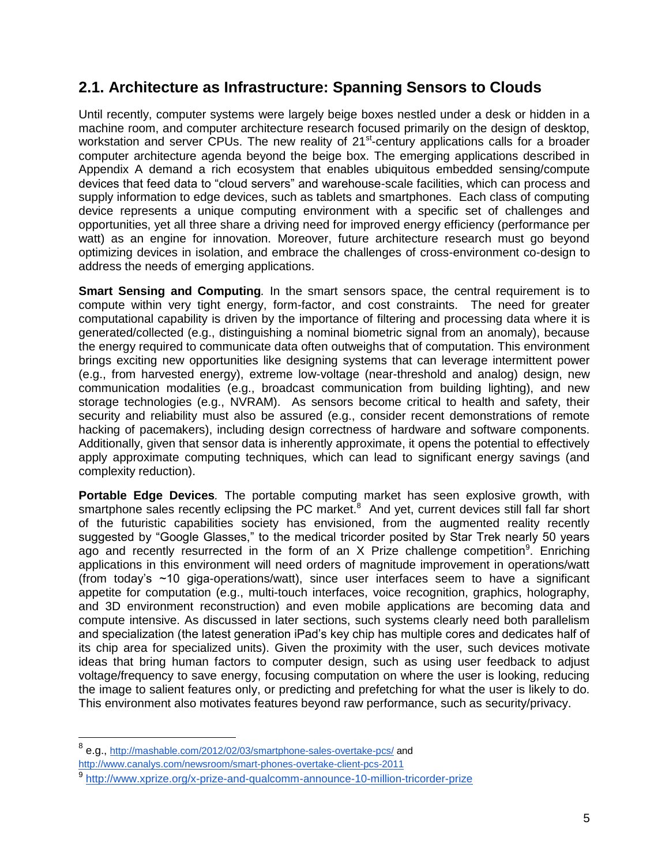## **2.1. Architecture as Infrastructure: Spanning Sensors to Clouds**

Until recently, computer systems were largely beige boxes nestled under a desk or hidden in a machine room, and computer architecture research focused primarily on the design of desktop, workstation and server CPUs. The new reality of 21<sup>st</sup>-century applications calls for a broader computer architecture agenda beyond the beige box. The emerging applications described in Appendix A demand a rich ecosystem that enables ubiquitous embedded sensing/compute devices that feed data to "cloud servers" and warehouse-scale facilities, which can process and supply information to edge devices, such as tablets and smartphones. Each class of computing device represents a unique computing environment with a specific set of challenges and opportunities, yet all three share a driving need for improved energy efficiency (performance per watt) as an engine for innovation. Moreover, future architecture research must go beyond optimizing devices in isolation, and embrace the challenges of cross-environment co-design to address the needs of emerging applications.

**Smart Sensing and Computing***.* In the smart sensors space, the central requirement is to compute within very tight energy, form-factor, and cost constraints. The need for greater computational capability is driven by the importance of filtering and processing data where it is generated/collected (e.g., distinguishing a nominal biometric signal from an anomaly), because the energy required to communicate data often outweighs that of computation. This environment brings exciting new opportunities like designing systems that can leverage intermittent power (e.g., from harvested energy), extreme low-voltage (near-threshold and analog) design, new communication modalities (e.g., broadcast communication from building lighting), and new storage technologies (e.g., NVRAM). As sensors become critical to health and safety, their security and reliability must also be assured (e.g., consider recent demonstrations of remote hacking of pacemakers), including design correctness of hardware and software components. Additionally, given that sensor data is inherently approximate, it opens the potential to effectively apply approximate computing techniques, which can lead to significant energy savings (and complexity reduction).

**Portable Edge Devices***.* The portable computing market has seen explosive growth, with smartphone sales recently eclipsing the PC market.<sup>8</sup> And yet, current devices still fall far short of the futuristic capabilities society has envisioned, from the augmented reality recently suggested by "Google Glasses," to the medical tricorder posited by Star Trek nearly 50 years ago and recently resurrected in the form of an  $X$  Prize challenge competition<sup>9</sup>. Enriching applications in this environment will need orders of magnitude improvement in operations/watt (from today's ~10 giga-operations/watt), since user interfaces seem to have a significant appetite for computation (e.g., multi-touch interfaces, voice recognition, graphics, holography, and 3D environment reconstruction) and even mobile applications are becoming data and compute intensive. As discussed in later sections, such systems clearly need both parallelism and specialization (the latest generation iPad's key chip has multiple cores and dedicates half of its chip area for specialized units). Given the proximity with the user, such devices motivate ideas that bring human factors to computer design, such as using user feedback to adjust voltage/frequency to save energy, focusing computation on where the user is looking, reducing the image to salient features only, or predicting and prefetching for what the user is likely to do. This environment also motivates features beyond raw performance, such as security/privacy.

<sup>&</sup>lt;sup>8</sup> e.g., [http://mashable.com/2012/02/03/smartphone-sales-overtake-pcs/](http://mashable.com/2012/02/03/smartphone-sales-overtake-pcs/,) and <http://www.canalys.com/newsroom/smart-phones-overtake-client-pcs-2011>

<sup>9</sup> <http://www.xprize.org/x-prize-and-qualcomm-announce-10-million-tricorder-prize>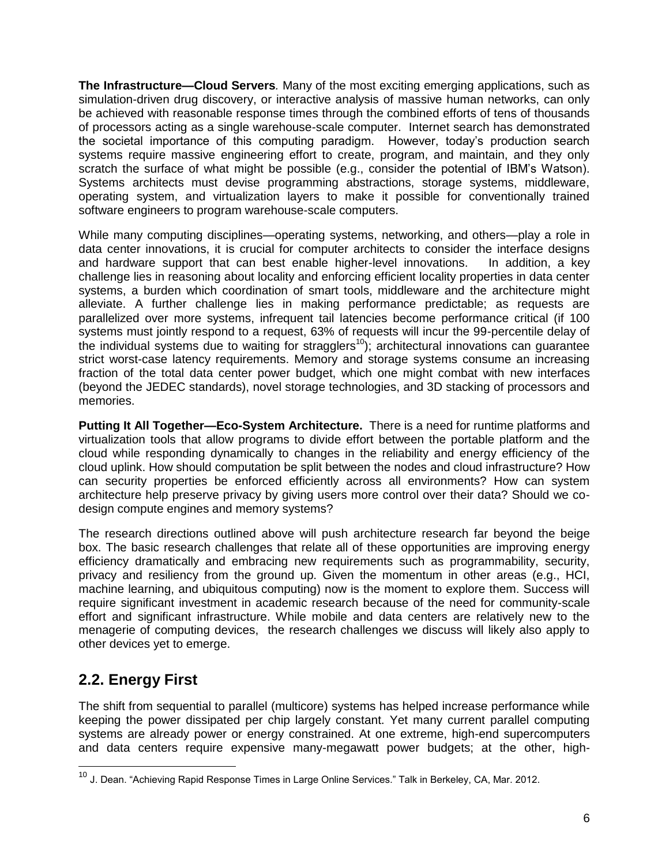**The Infrastructure—Cloud Servers***.* Many of the most exciting emerging applications, such as simulation-driven drug discovery, or interactive analysis of massive human networks, can only be achieved with reasonable response times through the combined efforts of tens of thousands of processors acting as a single warehouse-scale computer. Internet search has demonstrated the societal importance of this computing paradigm. However, today's production search systems require massive engineering effort to create, program, and maintain, and they only scratch the surface of what might be possible (e.g., consider the potential of IBM's Watson). Systems architects must devise programming abstractions, storage systems, middleware, operating system, and virtualization layers to make it possible for conventionally trained software engineers to program warehouse-scale computers.

While many computing disciplines—operating systems, networking, and others—play a role in data center innovations, it is crucial for computer architects to consider the interface designs and hardware support that can best enable higher-level innovations. In addition, a key challenge lies in reasoning about locality and enforcing efficient locality properties in data center systems, a burden which coordination of smart tools, middleware and the architecture might alleviate. A further challenge lies in making performance predictable; as requests are parallelized over more systems, infrequent tail latencies become performance critical (if 100 systems must jointly respond to a request, 63% of requests will incur the 99-percentile delay of the individual systems due to waiting for stragglers<sup>10</sup>); architectural innovations can guarantee strict worst-case latency requirements. Memory and storage systems consume an increasing fraction of the total data center power budget, which one might combat with new interfaces (beyond the JEDEC standards), novel storage technologies, and 3D stacking of processors and memories.

**Putting It All Together—Eco-System Architecture.** There is a need for runtime platforms and virtualization tools that allow programs to divide effort between the portable platform and the cloud while responding dynamically to changes in the reliability and energy efficiency of the cloud uplink. How should computation be split between the nodes and cloud infrastructure? How can security properties be enforced efficiently across all environments? How can system architecture help preserve privacy by giving users more control over their data? Should we codesign compute engines and memory systems?

The research directions outlined above will push architecture research far beyond the beige box. The basic research challenges that relate all of these opportunities are improving energy efficiency dramatically and embracing new requirements such as programmability, security, privacy and resiliency from the ground up. Given the momentum in other areas (e.g., HCI, machine learning, and ubiquitous computing) now is the moment to explore them. Success will require significant investment in academic research because of the need for community-scale effort and significant infrastructure. While mobile and data centers are relatively new to the menagerie of computing devices, the research challenges we discuss will likely also apply to other devices yet to emerge.

## **2.2. Energy First**

 $\overline{a}$ 

The shift from sequential to parallel (multicore) systems has helped increase performance while keeping the power dissipated per chip largely constant. Yet many current parallel computing systems are already power or energy constrained. At one extreme, high-end supercomputers and data centers require expensive many-megawatt power budgets; at the other, high-

<sup>&</sup>lt;sup>10</sup> J. Dean. "Achieving Rapid Response Times in Large Online Services." Talk in Berkeley, CA, Mar. 2012.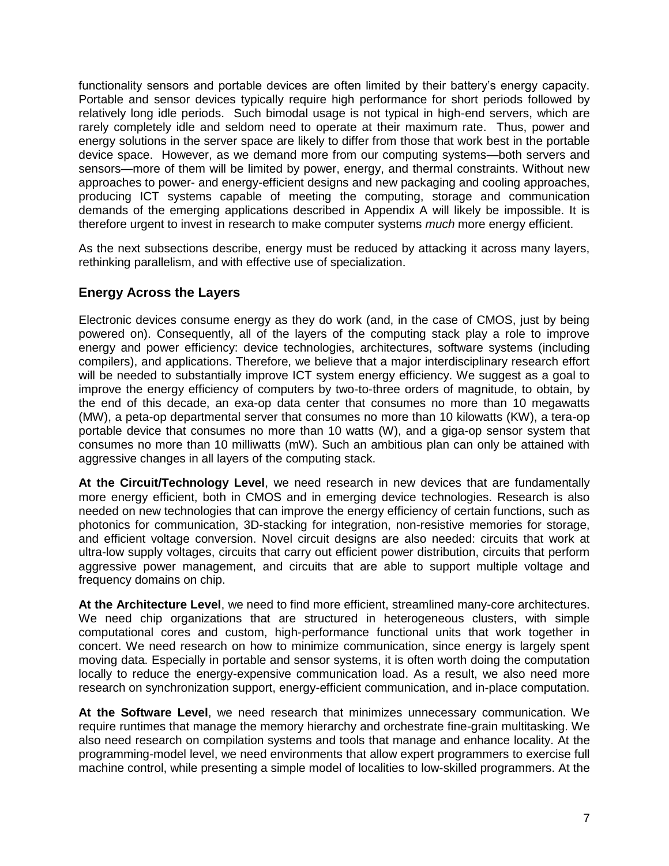functionality sensors and portable devices are often limited by their battery's energy capacity. Portable and sensor devices typically require high performance for short periods followed by relatively long idle periods. Such bimodal usage is not typical in high-end servers, which are rarely completely idle and seldom need to operate at their maximum rate. Thus, power and energy solutions in the server space are likely to differ from those that work best in the portable device space. However, as we demand more from our computing systems—both servers and sensors—more of them will be limited by power, energy, and thermal constraints. Without new approaches to power- and energy-efficient designs and new packaging and cooling approaches, producing ICT systems capable of meeting the computing, storage and communication demands of the emerging applications described in Appendix A will likely be impossible. It is therefore urgent to invest in research to make computer systems *much* more energy efficient.

As the next subsections describe, energy must be reduced by attacking it across many layers, rethinking parallelism, and with effective use of specialization.

#### **Energy Across the Layers**

Electronic devices consume energy as they do work (and, in the case of CMOS, just by being powered on). Consequently, all of the layers of the computing stack play a role to improve energy and power efficiency: device technologies, architectures, software systems (including compilers), and applications. Therefore, we believe that a major interdisciplinary research effort will be needed to substantially improve ICT system energy efficiency. We suggest as a goal to improve the energy efficiency of computers by two-to-three orders of magnitude, to obtain, by the end of this decade, an exa-op data center that consumes no more than 10 megawatts (MW), a peta-op departmental server that consumes no more than 10 kilowatts (KW), a tera-op portable device that consumes no more than 10 watts (W), and a giga-op sensor system that consumes no more than 10 milliwatts (mW). Such an ambitious plan can only be attained with aggressive changes in all layers of the computing stack.

**At the Circuit/Technology Level**, we need research in new devices that are fundamentally more energy efficient, both in CMOS and in emerging device technologies. Research is also needed on new technologies that can improve the energy efficiency of certain functions, such as photonics for communication, 3D-stacking for integration, non-resistive memories for storage, and efficient voltage conversion. Novel circuit designs are also needed: circuits that work at ultra-low supply voltages, circuits that carry out efficient power distribution, circuits that perform aggressive power management, and circuits that are able to support multiple voltage and frequency domains on chip.

**At the Architecture Level**, we need to find more efficient, streamlined many-core architectures. We need chip organizations that are structured in heterogeneous clusters, with simple computational cores and custom, high-performance functional units that work together in concert. We need research on how to minimize communication, since energy is largely spent moving data. Especially in portable and sensor systems, it is often worth doing the computation locally to reduce the energy-expensive communication load. As a result, we also need more research on synchronization support, energy-efficient communication, and in-place computation.

**At the Software Level**, we need research that minimizes unnecessary communication. We require runtimes that manage the memory hierarchy and orchestrate fine-grain multitasking. We also need research on compilation systems and tools that manage and enhance locality. At the programming-model level, we need environments that allow expert programmers to exercise full machine control, while presenting a simple model of localities to low-skilled programmers. At the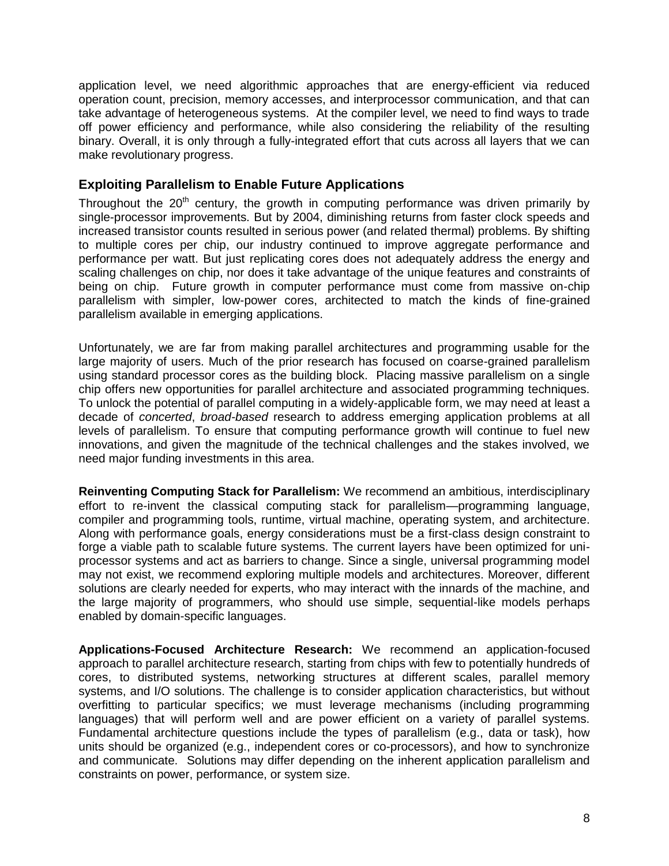application level, we need algorithmic approaches that are energy-efficient via reduced operation count, precision, memory accesses, and interprocessor communication, and that can take advantage of heterogeneous systems. At the compiler level, we need to find ways to trade off power efficiency and performance, while also considering the reliability of the resulting binary. Overall, it is only through a fully-integrated effort that cuts across all layers that we can make revolutionary progress.

#### **Exploiting Parallelism to Enable Future Applications**

Throughout the  $20<sup>th</sup>$  century, the growth in computing performance was driven primarily by single-processor improvements. But by 2004, diminishing returns from faster clock speeds and increased transistor counts resulted in serious power (and related thermal) problems. By shifting to multiple cores per chip, our industry continued to improve aggregate performance and performance per watt. But just replicating cores does not adequately address the energy and scaling challenges on chip, nor does it take advantage of the unique features and constraints of being on chip. Future growth in computer performance must come from massive on-chip parallelism with simpler, low-power cores, architected to match the kinds of fine-grained parallelism available in emerging applications.

Unfortunately, we are far from making parallel architectures and programming usable for the large majority of users. Much of the prior research has focused on coarse-grained parallelism using standard processor cores as the building block. Placing massive parallelism on a single chip offers new opportunities for parallel architecture and associated programming techniques. To unlock the potential of parallel computing in a widely-applicable form, we may need at least a decade of *concerted*, *broad-based* research to address emerging application problems at all levels of parallelism. To ensure that computing performance growth will continue to fuel new innovations, and given the magnitude of the technical challenges and the stakes involved, we need major funding investments in this area.

**Reinventing Computing Stack for Parallelism:** We recommend an ambitious, interdisciplinary effort to re-invent the classical computing stack for parallelism—programming language, compiler and programming tools, runtime, virtual machine, operating system, and architecture. Along with performance goals, energy considerations must be a first-class design constraint to forge a viable path to scalable future systems. The current layers have been optimized for uniprocessor systems and act as barriers to change. Since a single, universal programming model may not exist, we recommend exploring multiple models and architectures. Moreover, different solutions are clearly needed for experts, who may interact with the innards of the machine, and the large majority of programmers, who should use simple, sequential-like models perhaps enabled by domain-specific languages.

**Applications-Focused Architecture Research:** We recommend an application-focused approach to parallel architecture research, starting from chips with few to potentially hundreds of cores, to distributed systems, networking structures at different scales, parallel memory systems, and I/O solutions. The challenge is to consider application characteristics, but without overfitting to particular specifics; we must leverage mechanisms (including programming languages) that will perform well and are power efficient on a variety of parallel systems. Fundamental architecture questions include the types of parallelism (e.g., data or task), how units should be organized (e.g., independent cores or co-processors), and how to synchronize and communicate. Solutions may differ depending on the inherent application parallelism and constraints on power, performance, or system size.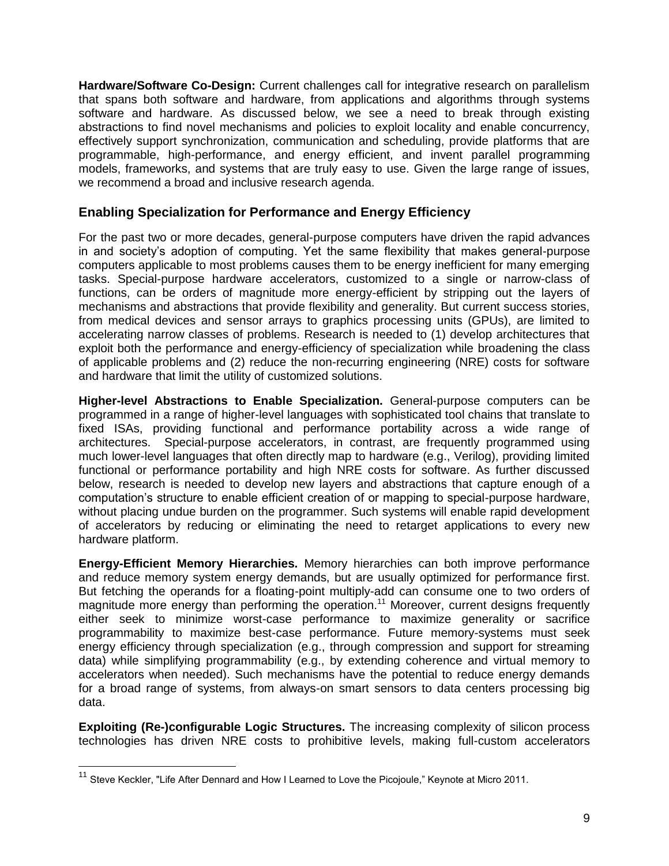**Hardware/Software Co-Design:** Current challenges call for integrative research on parallelism that spans both software and hardware, from applications and algorithms through systems software and hardware. As discussed below, we see a need to break through existing abstractions to find novel mechanisms and policies to exploit locality and enable concurrency, effectively support synchronization, communication and scheduling, provide platforms that are programmable, high-performance, and energy efficient, and invent parallel programming models, frameworks, and systems that are truly easy to use. Given the large range of issues, we recommend a broad and inclusive research agenda.

#### **Enabling Specialization for Performance and Energy Efficiency**

For the past two or more decades, general-purpose computers have driven the rapid advances in and society's adoption of computing. Yet the same flexibility that makes general-purpose computers applicable to most problems causes them to be energy inefficient for many emerging tasks. Special-purpose hardware accelerators, customized to a single or narrow-class of functions, can be orders of magnitude more energy-efficient by stripping out the layers of mechanisms and abstractions that provide flexibility and generality. But current success stories, from medical devices and sensor arrays to graphics processing units (GPUs), are limited to accelerating narrow classes of problems. Research is needed to (1) develop architectures that exploit both the performance and energy-efficiency of specialization while broadening the class of applicable problems and (2) reduce the non-recurring engineering (NRE) costs for software and hardware that limit the utility of customized solutions.

**Higher-level Abstractions to Enable Specialization.** General-purpose computers can be programmed in a range of higher-level languages with sophisticated tool chains that translate to fixed ISAs, providing functional and performance portability across a wide range of architectures. Special-purpose accelerators, in contrast, are frequently programmed using much lower-level languages that often directly map to hardware (e.g., Verilog), providing limited functional or performance portability and high NRE costs for software. As further discussed below, research is needed to develop new layers and abstractions that capture enough of a computation's structure to enable efficient creation of or mapping to special-purpose hardware, without placing undue burden on the programmer. Such systems will enable rapid development of accelerators by reducing or eliminating the need to retarget applications to every new hardware platform.

**Energy-Efficient Memory Hierarchies.** Memory hierarchies can both improve performance and reduce memory system energy demands, but are usually optimized for performance first. But fetching the operands for a floating-point multiply-add can consume one to two orders of magnitude more energy than performing the operation.<sup>11</sup> Moreover, current designs frequently either seek to minimize worst-case performance to maximize generality or sacrifice programmability to maximize best-case performance. Future memory-systems must seek energy efficiency through specialization (e.g., through compression and support for streaming data) while simplifying programmability (e.g., by extending coherence and virtual memory to accelerators when needed). Such mechanisms have the potential to reduce energy demands for a broad range of systems, from always-on smart sensors to data centers processing big data.

**Exploiting (Re-)configurable Logic Structures.** The increasing complexity of silicon process technologies has driven NRE costs to prohibitive levels, making full-custom accelerators

<sup>&</sup>lt;sup>11</sup> Steve Keckler, "Life After Dennard and How I Learned to Love the Picojoule," Keynote at Micro 2011.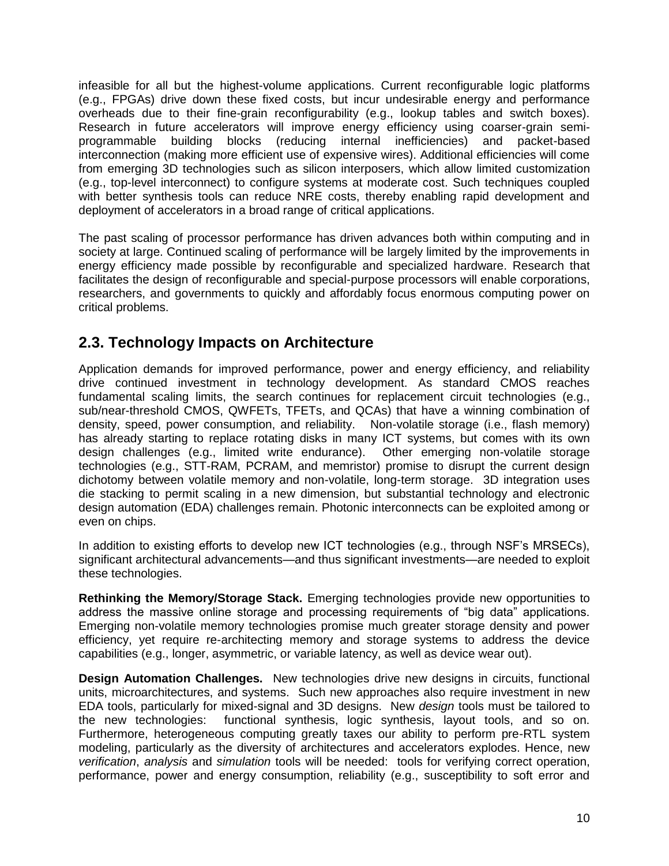infeasible for all but the highest-volume applications. Current reconfigurable logic platforms (e.g., FPGAs) drive down these fixed costs, but incur undesirable energy and performance overheads due to their fine-grain reconfigurability (e.g., lookup tables and switch boxes). Research in future accelerators will improve energy efficiency using coarser-grain semiprogrammable building blocks (reducing internal inefficiencies) and packet-based interconnection (making more efficient use of expensive wires). Additional efficiencies will come from emerging 3D technologies such as silicon interposers, which allow limited customization (e.g., top-level interconnect) to configure systems at moderate cost. Such techniques coupled with better synthesis tools can reduce NRE costs, thereby enabling rapid development and deployment of accelerators in a broad range of critical applications.

The past scaling of processor performance has driven advances both within computing and in society at large. Continued scaling of performance will be largely limited by the improvements in energy efficiency made possible by reconfigurable and specialized hardware. Research that facilitates the design of reconfigurable and special-purpose processors will enable corporations, researchers, and governments to quickly and affordably focus enormous computing power on critical problems.

## **2.3. Technology Impacts on Architecture**

Application demands for improved performance, power and energy efficiency, and reliability drive continued investment in technology development. As standard CMOS reaches fundamental scaling limits, the search continues for replacement circuit technologies (e.g., sub/near-threshold CMOS, QWFETs, TFETs, and QCAs) that have a winning combination of density, speed, power consumption, and reliability. Non-volatile storage (i.e., flash memory) has already starting to replace rotating disks in many ICT systems, but comes with its own design challenges (e.g., limited write endurance). Other emerging non-volatile storage technologies (e.g., STT-RAM, PCRAM, and memristor) promise to disrupt the current design dichotomy between volatile memory and non-volatile, long-term storage. 3D integration uses die stacking to permit scaling in a new dimension, but substantial technology and electronic design automation (EDA) challenges remain. Photonic interconnects can be exploited among or even on chips.

In addition to existing efforts to develop new ICT technologies (e.g., through NSF's MRSECs), significant architectural advancements—and thus significant investments—are needed to exploit these technologies.

**Rethinking the Memory/Storage Stack.** Emerging technologies provide new opportunities to address the massive online storage and processing requirements of "big data" applications. Emerging non-volatile memory technologies promise much greater storage density and power efficiency, yet require re-architecting memory and storage systems to address the device capabilities (e.g., longer, asymmetric, or variable latency, as well as device wear out).

**Design Automation Challenges.** New technologies drive new designs in circuits, functional units, microarchitectures, and systems. Such new approaches also require investment in new EDA tools, particularly for mixed-signal and 3D designs. New *design* tools must be tailored to the new technologies: functional synthesis, logic synthesis, layout tools, and so on. Furthermore, heterogeneous computing greatly taxes our ability to perform pre-RTL system modeling, particularly as the diversity of architectures and accelerators explodes. Hence, new *verification*, *analysis* and *simulation* tools will be needed: tools for verifying correct operation, performance, power and energy consumption, reliability (e.g., susceptibility to soft error and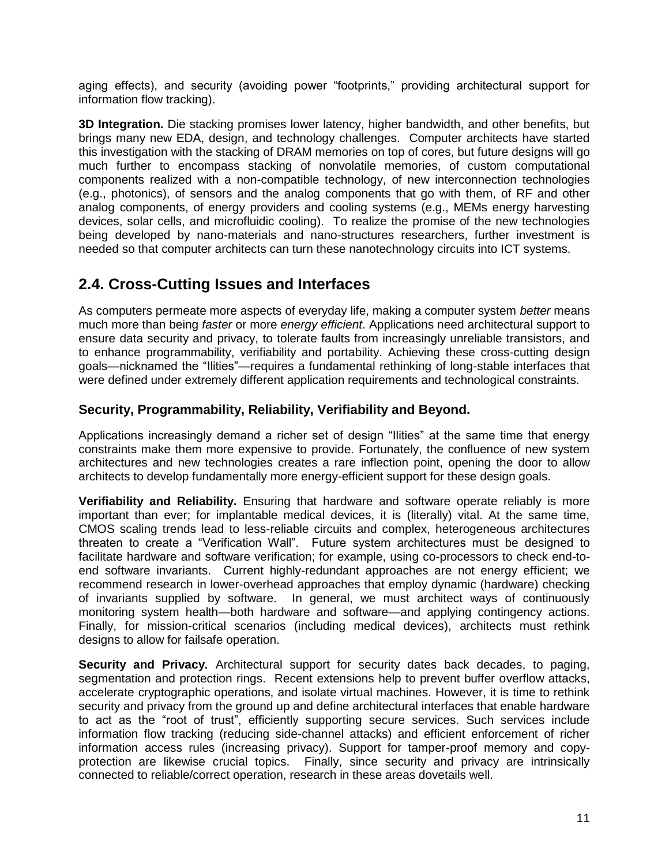aging effects), and security (avoiding power "footprints," providing architectural support for information flow tracking).

**3D Integration.** Die stacking promises lower latency, higher bandwidth, and other benefits, but brings many new EDA, design, and technology challenges. Computer architects have started this investigation with the stacking of DRAM memories on top of cores, but future designs will go much further to encompass stacking of nonvolatile memories, of custom computational components realized with a non-compatible technology, of new interconnection technologies (e.g., photonics), of sensors and the analog components that go with them, of RF and other analog components, of energy providers and cooling systems (e.g., MEMs energy harvesting devices, solar cells, and microfluidic cooling). To realize the promise of the new technologies being developed by nano-materials and nano-structures researchers, further investment is needed so that computer architects can turn these nanotechnology circuits into ICT systems.

### **2.4. Cross-Cutting Issues and Interfaces**

As computers permeate more aspects of everyday life, making a computer system *better* means much more than being *faster* or more *energy efficient*. Applications need architectural support to ensure data security and privacy, to tolerate faults from increasingly unreliable transistors, and to enhance programmability, verifiability and portability. Achieving these cross-cutting design goals—nicknamed the "Ilities"—requires a fundamental rethinking of long-stable interfaces that were defined under extremely different application requirements and technological constraints.

#### **Security, Programmability, Reliability, Verifiability and Beyond.**

Applications increasingly demand a richer set of design "Ilities" at the same time that energy constraints make them more expensive to provide. Fortunately, the confluence of new system architectures and new technologies creates a rare inflection point, opening the door to allow architects to develop fundamentally more energy-efficient support for these design goals.

**Verifiability and Reliability.** Ensuring that hardware and software operate reliably is more important than ever; for implantable medical devices, it is (literally) vital. At the same time, CMOS scaling trends lead to less-reliable circuits and complex, heterogeneous architectures threaten to create a "Verification Wall". Future system architectures must be designed to facilitate hardware and software verification; for example, using co-processors to check end-toend software invariants. Current highly-redundant approaches are not energy efficient; we recommend research in lower-overhead approaches that employ dynamic (hardware) checking of invariants supplied by software. In general, we must architect ways of continuously monitoring system health—both hardware and software—and applying contingency actions. Finally, for mission-critical scenarios (including medical devices), architects must rethink designs to allow for failsafe operation.

**Security and Privacy.** Architectural support for security dates back decades, to paging, segmentation and protection rings. Recent extensions help to prevent buffer overflow attacks, accelerate cryptographic operations, and isolate virtual machines. However, it is time to rethink security and privacy from the ground up and define architectural interfaces that enable hardware to act as the "root of trust", efficiently supporting secure services. Such services include information flow tracking (reducing side-channel attacks) and efficient enforcement of richer information access rules (increasing privacy). Support for tamper-proof memory and copyprotection are likewise crucial topics. Finally, since security and privacy are intrinsically connected to reliable/correct operation, research in these areas dovetails well.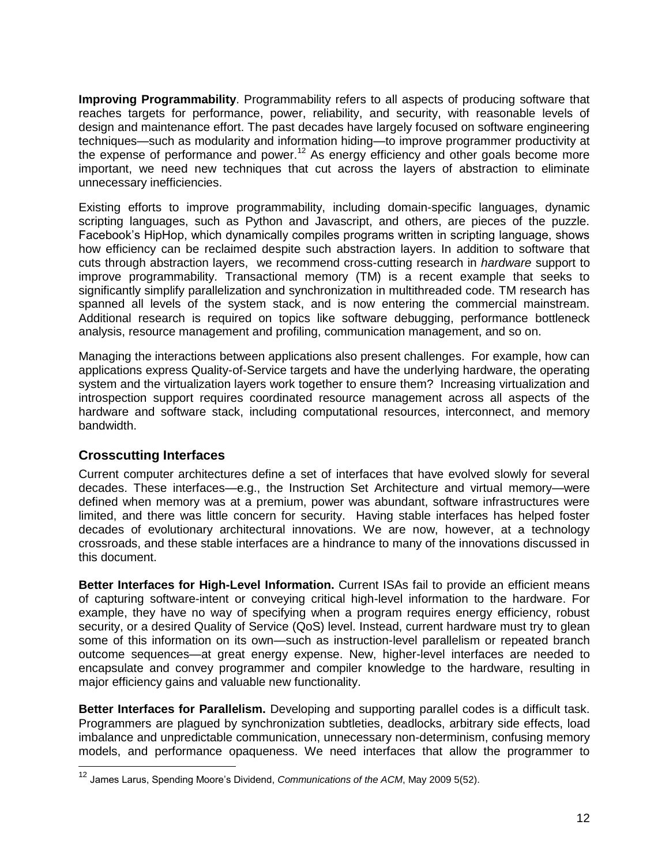**Improving Programmability**. Programmability refers to all aspects of producing software that reaches targets for performance, power, reliability, and security, with reasonable levels of design and maintenance effort. The past decades have largely focused on software engineering techniques—such as modularity and information hiding—to improve programmer productivity at the expense of performance and power.<sup>12</sup> As energy efficiency and other goals become more important, we need new techniques that cut across the layers of abstraction to eliminate unnecessary inefficiencies.

Existing efforts to improve programmability, including domain-specific languages, dynamic scripting languages, such as Python and Javascript, and others, are pieces of the puzzle. Facebook's HipHop, which dynamically compiles programs written in scripting language, shows how efficiency can be reclaimed despite such abstraction layers. In addition to software that cuts through abstraction layers, we recommend cross-cutting research in *hardware* support to improve programmability. Transactional memory (TM) is a recent example that seeks to significantly simplify parallelization and synchronization in multithreaded code. TM research has spanned all levels of the system stack, and is now entering the commercial mainstream. Additional research is required on topics like software debugging, performance bottleneck analysis, resource management and profiling, communication management, and so on.

Managing the interactions between applications also present challenges. For example, how can applications express Quality-of-Service targets and have the underlying hardware, the operating system and the virtualization layers work together to ensure them? Increasing virtualization and introspection support requires coordinated resource management across all aspects of the hardware and software stack, including computational resources, interconnect, and memory bandwidth.

#### **Crosscutting Interfaces**

 $\overline{a}$ 

Current computer architectures define a set of interfaces that have evolved slowly for several decades. These interfaces—e.g., the Instruction Set Architecture and virtual memory—were defined when memory was at a premium, power was abundant, software infrastructures were limited, and there was little concern for security. Having stable interfaces has helped foster decades of evolutionary architectural innovations. We are now, however, at a technology crossroads, and these stable interfaces are a hindrance to many of the innovations discussed in this document.

**Better Interfaces for High-Level Information.** Current ISAs fail to provide an efficient means of capturing software-intent or conveying critical high-level information to the hardware. For example, they have no way of specifying when a program requires energy efficiency, robust security, or a desired Quality of Service (QoS) level. Instead, current hardware must try to glean some of this information on its own—such as instruction-level parallelism or repeated branch outcome sequences—at great energy expense. New, higher-level interfaces are needed to encapsulate and convey programmer and compiler knowledge to the hardware, resulting in major efficiency gains and valuable new functionality.

**Better Interfaces for Parallelism.** Developing and supporting parallel codes is a difficult task. Programmers are plagued by synchronization subtleties, deadlocks, arbitrary side effects, load imbalance and unpredictable communication, unnecessary non-determinism, confusing memory models, and performance opaqueness. We need interfaces that allow the programmer to

<sup>12</sup> James Larus, Spending Moore's Dividend, *Communications of the ACM*, May 2009 5(52).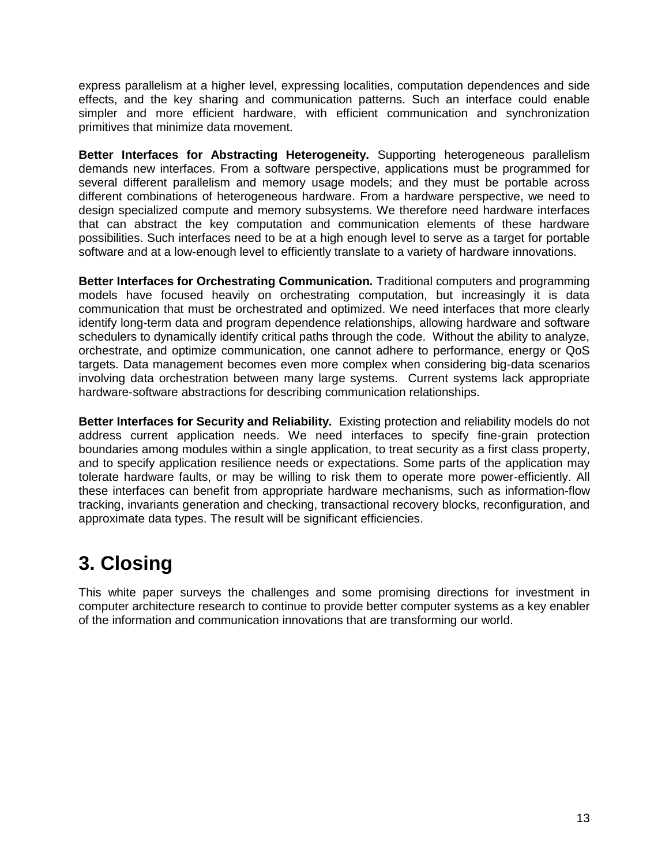express parallelism at a higher level, expressing localities, computation dependences and side effects, and the key sharing and communication patterns. Such an interface could enable simpler and more efficient hardware, with efficient communication and synchronization primitives that minimize data movement.

**Better Interfaces for Abstracting Heterogeneity.** Supporting heterogeneous parallelism demands new interfaces. From a software perspective, applications must be programmed for several different parallelism and memory usage models; and they must be portable across different combinations of heterogeneous hardware. From a hardware perspective, we need to design specialized compute and memory subsystems. We therefore need hardware interfaces that can abstract the key computation and communication elements of these hardware possibilities. Such interfaces need to be at a high enough level to serve as a target for portable software and at a low-enough level to efficiently translate to a variety of hardware innovations.

**Better Interfaces for Orchestrating Communication.** Traditional computers and programming models have focused heavily on orchestrating computation, but increasingly it is data communication that must be orchestrated and optimized. We need interfaces that more clearly identify long-term data and program dependence relationships, allowing hardware and software schedulers to dynamically identify critical paths through the code. Without the ability to analyze, orchestrate, and optimize communication, one cannot adhere to performance, energy or QoS targets. Data management becomes even more complex when considering big-data scenarios involving data orchestration between many large systems. Current systems lack appropriate hardware-software abstractions for describing communication relationships.

**Better Interfaces for Security and Reliability.** Existing protection and reliability models do not address current application needs. We need interfaces to specify fine-grain protection boundaries among modules within a single application, to treat security as a first class property, and to specify application resilience needs or expectations. Some parts of the application may tolerate hardware faults, or may be willing to risk them to operate more power-efficiently. All these interfaces can benefit from appropriate hardware mechanisms, such as information-flow tracking, invariants generation and checking, transactional recovery blocks, reconfiguration, and approximate data types. The result will be significant efficiencies.

# **3. Closing**

This white paper surveys the challenges and some promising directions for investment in computer architecture research to continue to provide better computer systems as a key enabler of the information and communication innovations that are transforming our world.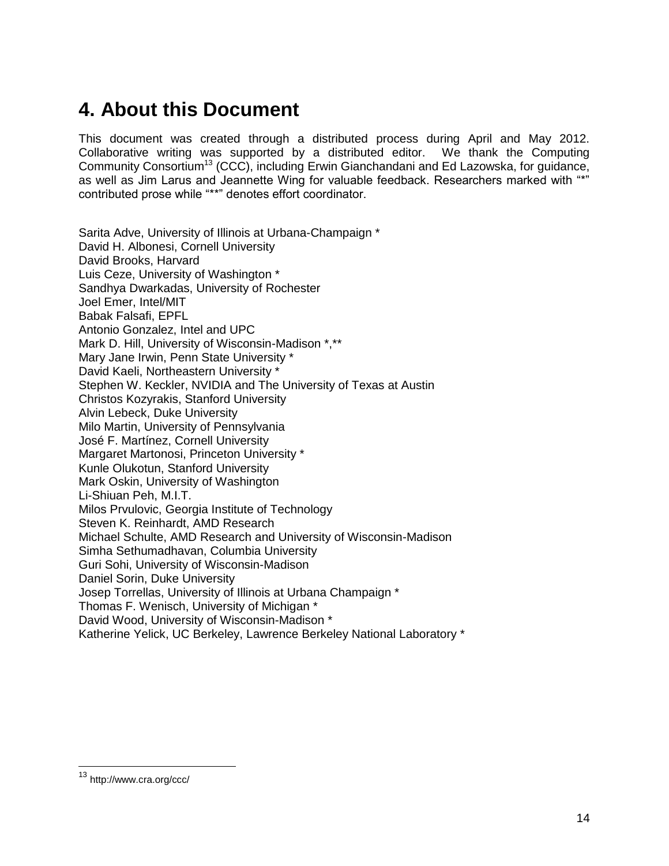# **4. About this Document**

This document was created through a distributed process during April and May 2012. Collaborative writing was supported by a distributed editor. We thank the Computing Community Consortium<sup>13</sup> (CCC), including Erwin Gianchandani and Ed Lazowska, for quidance, as well as Jim Larus and Jeannette Wing for valuable feedback. Researchers marked with "\*" contributed prose while "\*\*" denotes effort coordinator.

Sarita Adve, University of Illinois at Urbana-Champaign \* David H. Albonesi, Cornell University David Brooks, Harvard Luis Ceze, University of Washington \* Sandhya Dwarkadas, University of Rochester Joel Emer, Intel/MIT Babak Falsafi, EPFL Antonio Gonzalez, Intel and UPC Mark D. Hill, University of Wisconsin-Madison \*,\*\* Mary Jane Irwin, Penn State University \* David Kaeli, Northeastern University \* Stephen W. Keckler, NVIDIA and The University of Texas at Austin Christos Kozyrakis, Stanford University Alvin Lebeck, Duke University Milo Martin, University of Pennsylvania José F. Martínez, Cornell University Margaret Martonosi, Princeton University \* Kunle Olukotun, Stanford University Mark Oskin, University of Washington Li-Shiuan Peh, M.I.T. Milos Prvulovic, Georgia Institute of Technology Steven K. Reinhardt, AMD Research Michael Schulte, AMD Research and University of Wisconsin-Madison Simha Sethumadhavan, Columbia University Guri Sohi, University of Wisconsin-Madison Daniel Sorin, Duke University Josep Torrellas, University of Illinois at Urbana Champaign \* Thomas F. Wenisch, University of Michigan \* David Wood, University of Wisconsin-Madison \* Katherine Yelick, UC Berkeley, Lawrence Berkeley National Laboratory \*

<sup>13</sup> http://www.cra.org/ccc/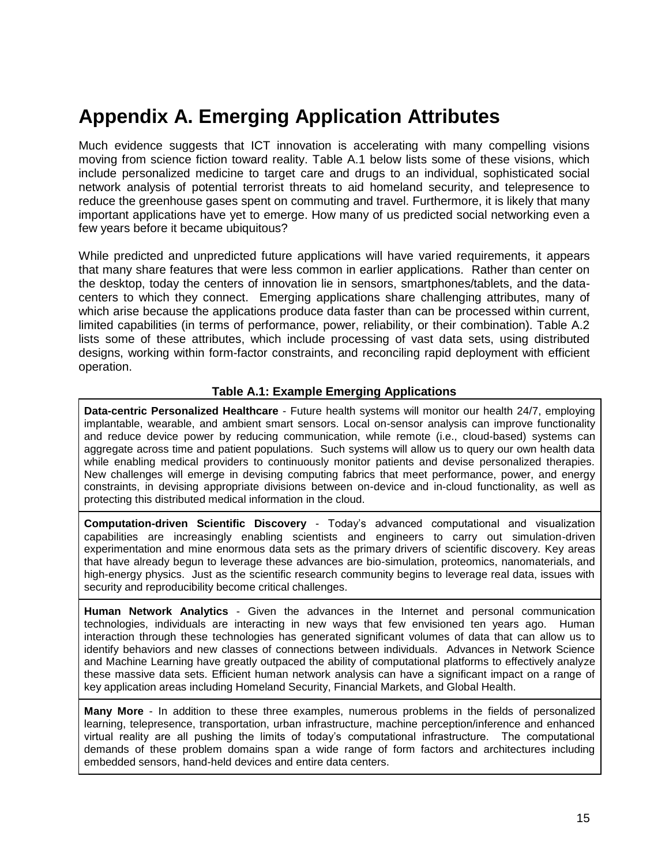# **Appendix A. Emerging Application Attributes**

Much evidence suggests that ICT innovation is accelerating with many compelling visions moving from science fiction toward reality. Table A.1 below lists some of these visions, which include personalized medicine to target care and drugs to an individual, sophisticated social network analysis of potential terrorist threats to aid homeland security, and telepresence to reduce the greenhouse gases spent on commuting and travel. Furthermore, it is likely that many important applications have yet to emerge. How many of us predicted social networking even a few years before it became ubiquitous?

While predicted and unpredicted future applications will have varied requirements, it appears that many share features that were less common in earlier applications. Rather than center on the desktop, today the centers of innovation lie in sensors, smartphones/tablets, and the datacenters to which they connect. Emerging applications share challenging attributes, many of which arise because the applications produce data faster than can be processed within current, limited capabilities (in terms of performance, power, reliability, or their combination). Table A.2 lists some of these attributes, which include processing of vast data sets, using distributed designs, working within form-factor constraints, and reconciling rapid deployment with efficient operation.

#### **Table A.1: Example Emerging Applications**

**Data-centric Personalized Healthcare** - Future health systems will monitor our health 24/7, employing implantable, wearable, and ambient smart sensors. Local on-sensor analysis can improve functionality and reduce device power by reducing communication, while remote (i.e., cloud-based) systems can aggregate across time and patient populations. Such systems will allow us to query our own health data while enabling medical providers to continuously monitor patients and devise personalized therapies. New challenges will emerge in devising computing fabrics that meet performance, power, and energy constraints, in devising appropriate divisions between on-device and in-cloud functionality, as well as protecting this distributed medical information in the cloud.

**Computation-driven Scientific Discovery** - Today's advanced computational and visualization capabilities are increasingly enabling scientists and engineers to carry out simulation-driven experimentation and mine enormous data sets as the primary drivers of scientific discovery. Key areas that have already begun to leverage these advances are bio-simulation, proteomics, nanomaterials, and high-energy physics. Just as the scientific research community begins to leverage real data, issues with security and reproducibility become critical challenges.

**Human Network Analytics** - Given the advances in the Internet and personal communication technologies, individuals are interacting in new ways that few envisioned ten years ago. Human interaction through these technologies has generated significant volumes of data that can allow us to identify behaviors and new classes of connections between individuals. Advances in Network Science and Machine Learning have greatly outpaced the ability of computational platforms to effectively analyze these massive data sets. Efficient human network analysis can have a significant impact on a range of key application areas including Homeland Security, Financial Markets, and Global Health.

**Many More** - In addition to these three examples, numerous problems in the fields of personalized learning, telepresence, transportation, urban infrastructure, machine perception/inference and enhanced virtual reality are all pushing the limits of today's computational infrastructure. The computational demands of these problem domains span a wide range of form factors and architectures including embedded sensors, hand-held devices and entire data centers.